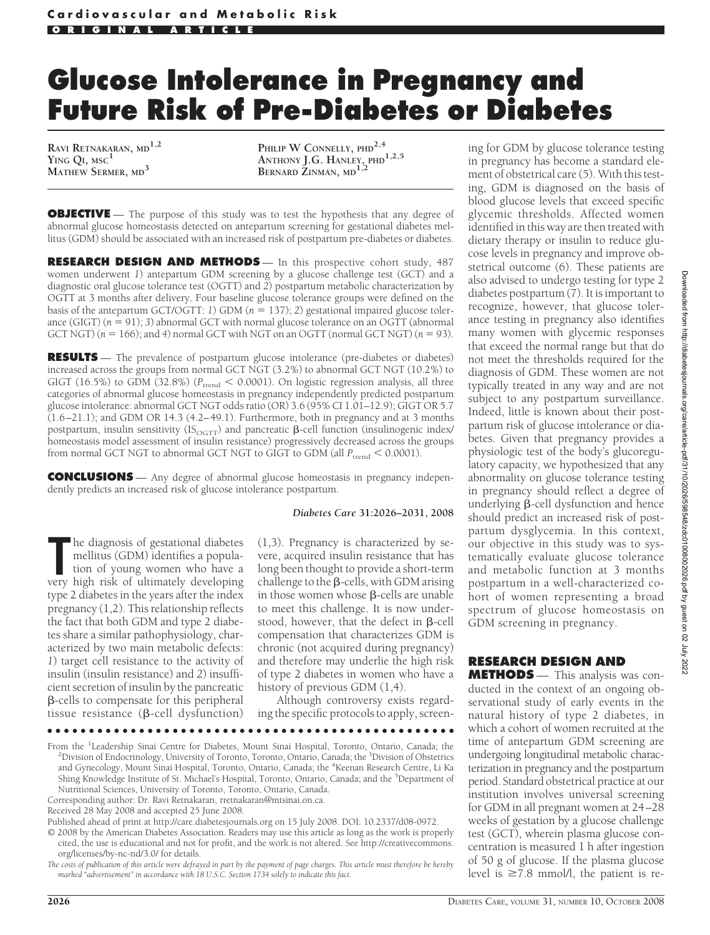# **Glucose Intolerance in Pregnancy and Future Risk of Pre-Diabetes or Diabetes**

**RAVI RETNAKARAN, MD1,2 YING QI, MSC<sup>1</sup> MATHEW SERMER, MD<sup>3</sup>**

**PHILIP W CONNELLY, PHD2,4 ANTHONY J.G. HANLEY, PHD1,2,5 BERNARD ZINMAN, MD1,2**

**OBJECTIVE** — The purpose of this study was to test the hypothesis that any degree of abnormal glucose homeostasis detected on antepartum screening for gestational diabetes mellitus (GDM) should be associated with an increased risk of postpartum pre-diabetes or diabetes.

**RESEARCH DESIGN AND METHODS** — In this prospective cohort study, 487 women underwent *1*) antepartum GDM screening by a glucose challenge test (GCT) and a diagnostic oral glucose tolerance test (OGTT) and *2*) postpartum metabolic characterization by OGTT at 3 months after delivery. Four baseline glucose tolerance groups were defined on the basis of the antepartum GCT/OGTT: *1*) GDM (*n* 137); *2*) gestational impaired glucose tolerance (GIGT)  $(n = 91)$ ; 3) abnormal GCT with normal glucose tolerance on an OGTT (abnormal GCT NGT)  $(n = 166)$ ; and  $4$ ) normal GCT with NGT on an OGTT (normal GCT NGT)  $(n = 93)$ .

**RESULTS** — The prevalence of postpartum glucose intolerance (pre-diabetes or diabetes) increased across the groups from normal GCT NGT (3.2%) to abnormal GCT NGT (10.2%) to GIGT (16.5%) to GDM (32.8%) ( $P_{trend} < 0.0001$ ). On logistic regression analysis, all three categories of abnormal glucose homeostasis in pregnancy independently predicted postpartum glucose intolerance: abnormal GCT NGT odds ratio (OR) 3.6 (95% CI 1.01–12.9); GIGT OR 5.7  $(1.6–21.1)$ ; and GDM OR 14.3  $(4.2–49.1)$ . Furthermore, both in pregnancy and at 3 months postpartum, insulin sensitivity ( $IS_{\text{OGTT}}$ ) and pancreatic  $\beta$ -cell function (insulinogenic index/ homeostasis model assessment of insulin resistance) progressively decreased across the groups from normal GCT NGT to abnormal GCT NGT to GIGT to GDM (all  $P_{\text{trend}} < 0.0001$ ).

**CONCLUSIONS** — Any degree of abnormal glucose homeostasis in pregnancy independently predicts an increased risk of glucose intolerance postpartum.

*Diabetes Care* **31:2026–2031, 2008**

The diagnosis of gestational diabetes<br>
mellitus (GDM) identifies a popula-<br>
tion of young women who have a<br>
very high risk of ultimately developing he diagnosis of gestational diabetes mellitus (GDM) identifies a population of young women who have a type 2 diabetes in the years after the index pregnancy (1,2). This relationship reflects the fact that both GDM and type 2 diabetes share a similar pathophysiology, characterized by two main metabolic defects: *1*) target cell resistance to the activity of insulin (insulin resistance) and *2*) insufficient secretion of insulin by the pancreatic  $\beta$ -cells to compensate for this peripheral tissue resistance ( $\beta$ -cell dysfunction)

(1,3). Pregnancy is characterized by severe, acquired insulin resistance that has long been thought to provide a short-term challenge to the  $\beta$ -cells, with GDM arising in those women whose  $\beta$ -cells are unable to meet this challenge. It is now understood, however, that the defect in  $\beta$ -cell compensation that characterizes GDM is chronic (not acquired during pregnancy) and therefore may underlie the high risk of type 2 diabetes in women who have a history of previous GDM (1,4).

Although controversy exists regarding the specific protocols to apply, screen-

●●●●●●●●●●●●●●●●●●●●●●●●●●●●●●●●●●●●●●●●●●●●●●●●●

From the <sup>1</sup>Leadership Sinai Centre for Diabetes, Mount Sinai Hospital, Toronto, Ontario, Canada; the <sup>2</sup>Division of Obstetrics Division of Endocrinology, University of Toronto, Toronto, Ontario, Canada; the <sup>3</sup>Division of Obstetrics and Gynecology, Mount Sinai Hospital, Toronto, Ontario, Canada; the <sup>4</sup>Keenan Research Centre, Li Ka Shing Knowledge Institute of St. Michael's Hospital, Toronto, Ontario, Canada; and the <sup>5</sup>Department of Nutritional Sciences, University of Toronto, Toronto, Ontario, Canada.

Corresponding author: Dr. Ravi Retnakaran, rretnakaran@mtsinai.on.ca.

Published ahead of print at http://care.diabetesjournals.org on 15 July 2008. DOI: 10.2337/d08-0972.

© 2008 by the American Diabetes Association. Readers may use this article as long as the work is properly cited, the use is educational and not for profit, and the work is not altered. See http://creativecommons. org/licenses/by-nc-nd/3.0/ for details.

*The costs of publication of this article were defrayed in part by the payment of page charges. This article must therefore be hereby marked "advertisement" in accordance with 18 U.S.C. Section 1734 solely to indicate this fact.*

ing for GDM by glucose tolerance testing in pregnancy has become a standard element of obstetrical care (5). With this testing, GDM is diagnosed on the basis of blood glucose levels that exceed specific glycemic thresholds. Affected women identified in this way are then treated with dietary therapy or insulin to reduce glucose levels in pregnancy and improve obstetrical outcome (6). These patients are also advised to undergo testing for type 2 diabetes postpartum (7). It is important to recognize, however, that glucose tolerance testing in pregnancy also identifies many women with glycemic responses that exceed the normal range but that do not meet the thresholds required for the diagnosis of GDM. These women are not typically treated in any way and are not subject to any postpartum surveillance. Indeed, little is known about their postpartum risk of glucose intolerance or diabetes. Given that pregnancy provides a physiologic test of the body's glucoregulatory capacity, we hypothesized that any abnormality on glucose tolerance testing in pregnancy should reflect a degree of underlying  $\beta$ -cell dysfunction and hence should predict an increased risk of postpartum dysglycemia. In this context, our objective in this study was to systematically evaluate glucose tolerance and metabolic function at 3 months postpartum in a well-characterized cohort of women representing a broad spectrum of glucose homeostasis on GDM screening in pregnancy.

# **RESEARCH DESIGN AND**

**METHODS** — This analysis was conducted in the context of an ongoing observational study of early events in the natural history of type 2 diabetes, in which a cohort of women recruited at the time of antepartum GDM screening are undergoing longitudinal metabolic characterization in pregnancy and the postpartum period. Standard obstetrical practice at our institution involves universal screening for GDM in all pregnant women at 24–28 weeks of gestation by a glucose challenge test (GCT), wherein plasma glucose concentration is measured 1 h after ingestion of 50 g of glucose. If the plasma glucose level is  $\geq 7.8$  mmol/l, the patient is re-

Received 28 May 2008 and accepted 25 June 2008.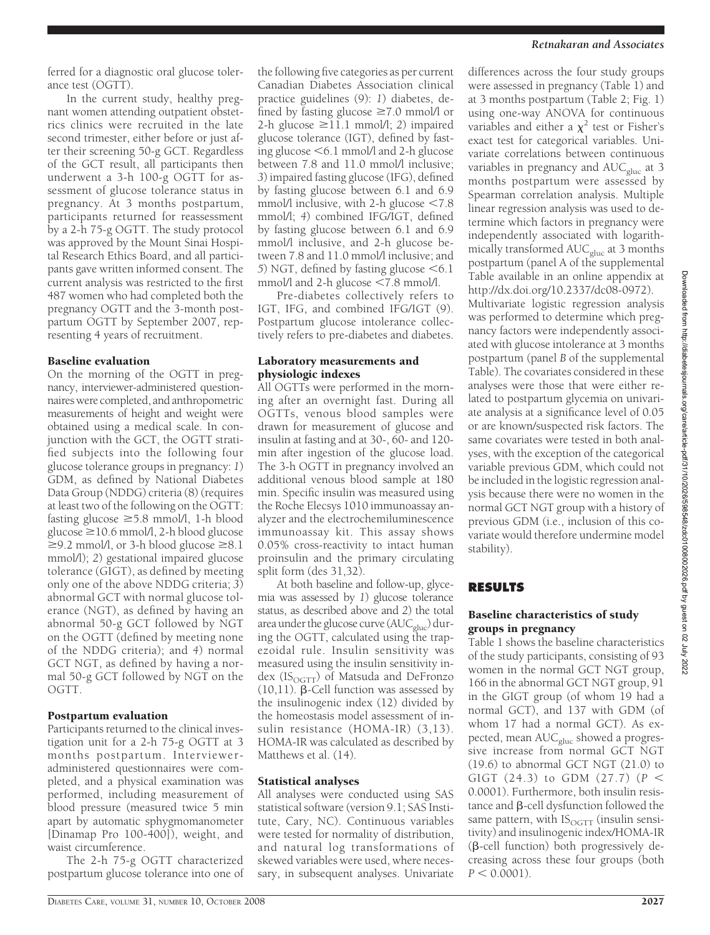ferred for a diagnostic oral glucose tolerance test (OGTT).

In the current study, healthy pregnant women attending outpatient obstetrics clinics were recruited in the late second trimester, either before or just after their screening 50-g GCT. Regardless of the GCT result, all participants then underwent a 3-h 100-g OGTT for assessment of glucose tolerance status in pregnancy. At 3 months postpartum, participants returned for reassessment by a 2-h 75-g OGTT. The study protocol was approved by the Mount Sinai Hospital Research Ethics Board, and all participants gave written informed consent. The current analysis was restricted to the first 487 women who had completed both the pregnancy OGTT and the 3-month postpartum OGTT by September 2007, representing 4 years of recruitment.

#### Baseline evaluation

On the morning of the OGTT in pregnancy, interviewer-administered questionnaires were completed, and anthropometric measurements of height and weight were obtained using a medical scale. In conjunction with the GCT, the OGTT stratified subjects into the following four glucose tolerance groups in pregnancy: *1*) GDM, as defined by National Diabetes Data Group (NDDG) criteria (8) (requires at least two of the following on the OGTT: fasting glucose  $\geq 5.8$  mmol/l, 1-h blood glucose  $\geq$ 10.6 mmol/l, 2-h blood glucose  $\geq$ 9.2 mmol/l, or 3-h blood glucose  $\geq$ 8.1 mmol/l); *2*) gestational impaired glucose tolerance (GIGT), as defined by meeting only one of the above NDDG criteria; *3*) abnormal GCT with normal glucose tolerance (NGT), as defined by having an abnormal 50-g GCT followed by NGT on the OGTT (defined by meeting none of the NDDG criteria); and *4*) normal GCT NGT, as defined by having a normal 50-g GCT followed by NGT on the OGTT.

#### Postpartum evaluation

Participants returned to the clinical investigation unit for a 2-h 75-g OGTT at 3 months postpartum. Intervieweradministered questionnaires were completed, and a physical examination was performed, including measurement of blood pressure (measured twice 5 min apart by automatic sphygmomanometer [Dinamap Pro 100-400]), weight, and waist circumference.

The 2-h 75-g OGTT characterized postpartum glucose tolerance into one of

the following five categories as per current Canadian Diabetes Association clinical practice guidelines (9): *1*) diabetes, defined by fasting glucose  $\geq 7.0$  mmol/l or 2-h glucose  $\geq$ 11.1 mmol/l; 2) impaired glucose tolerance (IGT), defined by fasting glucose -6.1 mmol/l and 2-h glucose between 7.8 and 11.0 mmol/l inclusive; *3*) impaired fasting glucose (IFG), defined by fasting glucose between 6.1 and 6.9  $mmol/l$  inclusive, with 2-h glucose  $\leq 7.8$ mmol/l; *4*) combined IFG/IGT, defined by fasting glucose between 6.1 and 6.9 mmol/l inclusive, and 2-h glucose between 7.8 and 11.0 mmol/l inclusive; and  $5)$  NGT, defined by fasting glucose  $\leq 6.1$ mmol/l and 2-h glucose <7.8 mmol/l.

Pre-diabetes collectively refers to IGT, IFG, and combined IFG/IGT (9). Postpartum glucose intolerance collectively refers to pre-diabetes and diabetes.

#### Laboratory measurements and physiologic indexes

All OGTTs were performed in the morning after an overnight fast. During all OGTTs, venous blood samples were drawn for measurement of glucose and insulin at fasting and at 30-, 60- and 120 min after ingestion of the glucose load. The 3-h OGTT in pregnancy involved an additional venous blood sample at 180 min. Specific insulin was measured using the Roche Elecsys 1010 immunoassay analyzer and the electrochemiluminescence immunoassay kit. This assay shows 0.05% cross-reactivity to intact human proinsulin and the primary circulating split form (des 31,32).

At both baseline and follow-up, glycemia was assessed by *1*) glucose tolerance status, as described above and *2*) the total area under the glucose curve (AUC<sub>gluc</sub>) during the OGTT, calculated using the trapezoidal rule. Insulin sensitivity was measured using the insulin sensitivity index  $(IS_{\text{OGTT}})$  of Matsuda and DeFronzo  $(10,11)$ .  $\beta$ -Cell function was assessed by the insulinogenic index (12) divided by the homeostasis model assessment of insulin resistance (HOMA-IR) (3,13). HOMA-IR was calculated as described by Matthews et al. (14).

#### Statistical analyses

All analyses were conducted using SAS statistical software (version 9.1; SAS Institute, Cary, NC). Continuous variables were tested for normality of distribution, and natural log transformations of skewed variables were used, where necessary, in subsequent analyses. Univariate

#### *Retnakaran and Associates*

differences across the four study groups were assessed in pregnancy (Table 1) and at 3 months postpartum (Table 2; Fig. 1) using one-way ANOVA for continuous variables and either a  $\chi^2$  test or Fisher's exact test for categorical variables. Univariate correlations between continuous variables in pregnancy and AUC<sub>gluc</sub> at 3 months postpartum were assessed by Spearman correlation analysis. Multiple linear regression analysis was used to determine which factors in pregnancy were independently associated with logarithmically transformed AUC<sub>gluc</sub> at 3 months postpartum (panel A of the supplemental Table available in an online appendix at http://dx.doi.org/10.2337/dc08-0972). Multivariate logistic regression analysis was performed to determine which pregnancy factors were independently associated with glucose intolerance at 3 months postpartum (panel *B* of the supplemental Table). The covariates considered in these analyses were those that were either related to postpartum glycemia on univariate analysis at a significance level of 0.05 or are known/suspected risk factors. The same covariates were tested in both analyses, with the exception of the categorical variable previous GDM, which could not be included in the logistic regression analysis because there were no women in the normal GCT NGT group with a history of previous GDM (i.e., inclusion of this covariate would therefore undermine model stability).

#### **RESULTS**

# Baseline characteristics of study groups in pregnancy

Table 1 shows the baseline characteristics of the study participants, consisting of 93 women in the normal GCT NGT group, 166 in the abnormal GCT NGT group, 91 in the GIGT group (of whom 19 had a normal GCT), and 137 with GDM (of whom 17 had a normal GCT). As expected, mean AUC<sub>gluc</sub> showed a progressive increase from normal GCT NGT (19.6) to abnormal GCT NGT (21.0) to GIGT (24.3) to GDM (27.7) ( $P <$ 0.0001). Furthermore, both insulin resistance and  $\beta$ -cell dysfunction followed the same pattern, with  $IS_{\text{OGTT}}$  (insulin sensitivity) and insulinogenic index/HOMA-IR  $(\beta$ -cell function) both progressively decreasing across these four groups (both  $P < 0.0001$ ).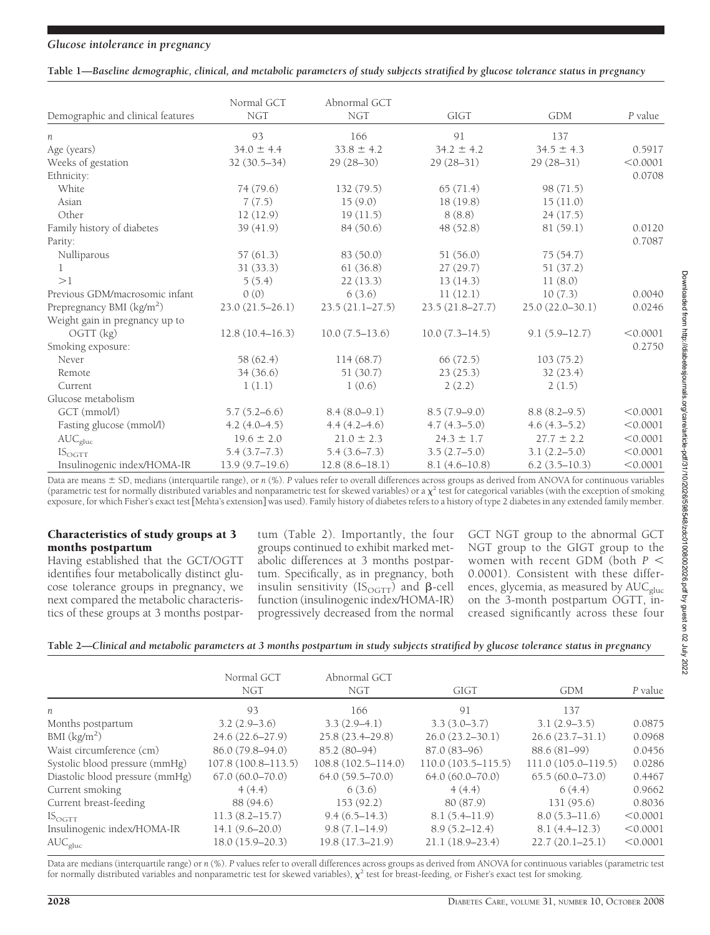# *Glucose intolerance in pregnancy*

|  |  | Table 1-Baseline demographic, clinical, and metabolic parameters of study subjects stratified by glucose tolerance status in pregnancy |  |  |  |  |  |
|--|--|----------------------------------------------------------------------------------------------------------------------------------------|--|--|--|--|--|
|  |  |                                                                                                                                        |  |  |  |  |  |

| Demographic and clinical features     | Normal GCT<br><b>NGT</b> | Abnormal GCT<br><b>NGT</b> | GIGT                | <b>GDM</b>       | P value  |
|---------------------------------------|--------------------------|----------------------------|---------------------|------------------|----------|
| п                                     | 93                       | 166                        | 91                  | 137              |          |
| Age (years)                           | $34.0 \pm 4.4$           | $33.8 \pm 4.2$             | $34.2 \pm 4.2$      | $34.5 \pm 4.3$   | 0.5917   |
| Weeks of gestation                    | $32(30.5-34)$            | $29(28-30)$                | $29(28-31)$         | $29(28-31)$      | < 0.0001 |
| Ethnicity:                            |                          |                            |                     |                  | 0.0708   |
| White                                 | 74(79.6)                 | 132 (79.5)                 | 65(71.4)            | 98(71.5)         |          |
| Asian                                 | 7(7.5)                   | 15(9.0)                    | 18(19.8)            | 15(11.0)         |          |
| Other                                 | 12(12.9)                 | 19(11.5)                   | 8(8.8)              | 24(17.5)         |          |
| Family history of diabetes            | 39(41.9)                 | 84(50.6)                   | 48 (52.8)           | 81 (59.1)        | 0.0120   |
| Parity:                               |                          |                            |                     |                  | 0.7087   |
| Nulliparous                           | 57(61.3)                 | 83 (50.0)                  | 51 (56.0)           | 75(54.7)         |          |
| 1                                     | 31(33.3)                 | 61(36.8)                   | 27(29.7)            | 51 (37.2)        |          |
| >1                                    | 5(5.4)                   | 22(13.3)                   | 13(14.3)            | 11(8.0)          |          |
| Previous GDM/macrosomic infant        | 0(0)                     | 6(3.6)                     | 11(12.1)            | 10(7.3)          | 0.0040   |
| Prepregnancy BMI (kg/m <sup>2</sup> ) | $23.0(21.5 - 26.1)$      | $23.5(21.1 - 27.5)$        | $23.5(21.8 - 27.7)$ | 25.0 (22.0-30.1) | 0.0246   |
| Weight gain in pregnancy up to        |                          |                            |                     |                  |          |
| OGTT (kg)                             | 12.8(10.4–16.3)          | $10.0(7.5-13.6)$           | $10.0(7.3-14.5)$    | $9.1(5.9-12.7)$  | < 0.0001 |
| Smoking exposure:                     |                          |                            |                     |                  | 0.2750   |
| Never                                 | 58 (62.4)                | 114(68.7)                  | 66(72.5)            | 103(75.2)        |          |
| Remote                                | 34(36.6)                 | 51 (30.7)                  | 23(25.3)            | 32(23.4)         |          |
| Current                               | 1(1.1)                   | 1(0.6)                     | 2(2.2)              | 2(1.5)           |          |
| Glucose metabolism                    |                          |                            |                     |                  |          |
| GCT (mmol/l)                          | $5.7(5.2 - 6.6)$         | $8.4(8.0-9.1)$             | $8.5(7.9-9.0)$      | $8.8(8.2 - 9.5)$ | < 0.0001 |
| Fasting glucose (mmol/l)              | $4.2(4.0-4.5)$           | $4.4(4.2 - 4.6)$           | $4.7(4.3-5.0)$      | $4.6(4.3-5.2)$   | < 0.0001 |
| $AUC_{gluc}$                          | $19.6 \pm 2.0$           | $21.0 \pm 2.3$             | $24.3 \pm 1.7$      | $27.7 \pm 2.2$   | < 0.0001 |
| $IS_{\text{OGTT}}$                    | 5.4(3.7–7.3)             | $5.4(3.6 - 7.3)$           | $3.5(2.7-5.0)$      | $3.1(2.2-5.0)$   | < 0.0001 |
| Insulinogenic index/HOMA-IR           | $13.9(9.7-19.6)$         | $12.8(8.6-18.1)$           | $8.1(4.6 - 10.8)$   | $6.2(3.5-10.3)$  | < 0.0001 |

Data are means  $\pm$  SD, medians (interquartile range), or *n* (%). *P* values refer to overall differences across groups as derived from ANOVA for continuous variables (parametric test for normally distributed variables and nonparametric test for skewed variables) or a  $\chi^2$  test for categorical variables (with the exception of smoking exposure, for which Fisher's exact test [Mehta's extension] was used). Family history of diabetes refers to a history of type 2 diabetes in any extended family member.

#### Characteristics of study groups at 3 months postpartum

Having established that the GCT/OGTT identifies four metabolically distinct glucose tolerance groups in pregnancy, we next compared the metabolic characteristics of these groups at 3 months postpartum (Table 2). Importantly, the four groups continued to exhibit marked metabolic differences at 3 months postpartum. Specifically, as in pregnancy, both insulin sensitivity  $(IS_{\text{OGTT}})$  and  $\beta$ -cell function (insulinogenic index/HOMA-IR) progressively decreased from the normal GCT NGT group to the abnormal GCT NGT group to the GIGT group to the women with recent GDM (both  $P <$ 0.0001). Consistent with these differences, glycemia, as measured by  $\text{AUC}_{\text{gluc}}$ on the 3-month postpartum OGTT, increased significantly across these four

**Table 2—***Clinical and metabolic parameters at 3 months postpartum in study subjects stratified by glucose tolerance status in pregnancy*

|                                 | Normal GCT<br><b>NGT</b> | Abnormal GCT<br><b>NGT</b> | GIGT                   | <b>GDM</b>             | P value  |
|---------------------------------|--------------------------|----------------------------|------------------------|------------------------|----------|
| n                               | 93                       | 166                        | 91                     | 137                    |          |
| Months postpartum               | $3.2(2.9-3.6)$           | $3.3(2.9-4.1)$             | $3.3(3.0-3.7)$         | $3.1(2.9-3.5)$         | 0.0875   |
| BMI (kg/m <sup>2</sup> )        | $24.6(22.6 - 27.9)$      | 25.8 (23.4-29.8)           | $26.0(23.2 - 30.1)$    | $26.6(23.7-31.1)$      | 0.0968   |
| Waist circumference (cm)        | 86.0 (79.8–94.0)         | 85.2 (80-94)               | 87.0 (83-96)           | 88.6 (81-99)           | 0.0456   |
| Systolic blood pressure (mmHg)  | 107.8 (100.8-113.5)      | 108.8 (102.5-114.0)        | $110.0(103.5 - 115.5)$ | $111.0(105.0 - 119.5)$ | 0.0286   |
| Diastolic blood pressure (mmHg) | $67.0(60.0 - 70.0)$      | $64.0(59.5 - 70.0)$        | $64.0(60.0 - 70.0)$    | $65.5(60.0 - 73.0)$    | 0.4467   |
| Current smoking                 | 4(4.4)                   | 6(3.6)                     | 4(4.4)                 | 6(4.4)                 | 0.9662   |
| Current breast-feeding          | 88 (94.6)                | 153(92.2)                  | 80 (87.9)              | 131(95.6)              | 0.8036   |
| $IS_{\text{OGTT}}$              | $11.3(8.2 - 15.7)$       | $9.4(6.5 - 14.3)$          | 8.1(5.4–11.9)          | $8.0(5.3 - 11.6)$      | < 0.0001 |
| Insulinogenic index/HOMA-IR     | $14.1(9.6-20.0)$         | $9.8(7.1 - 14.9)$          | $8.9(5.2 - 12.4)$      | 8.1(4.4–12.3)          | < 0.0001 |
| $AUC_{gluc}$                    | $18.0(15.9 - 20.3)$      | 19.8 (17.3-21.9)           | $21.1(18.9 - 23.4)$    | $22.7(20.1 - 25.1)$    | < 0.0001 |

Data are medians (interquartile range) or *n* (%). *P* values refer to overall differences across groups as derived from ANOVA for continuous variables (parametric test for normally distributed variables and nonparametric test for skewed variables),  $\chi^2$  test for breast-feeding, or Fisher's exact test for smoking.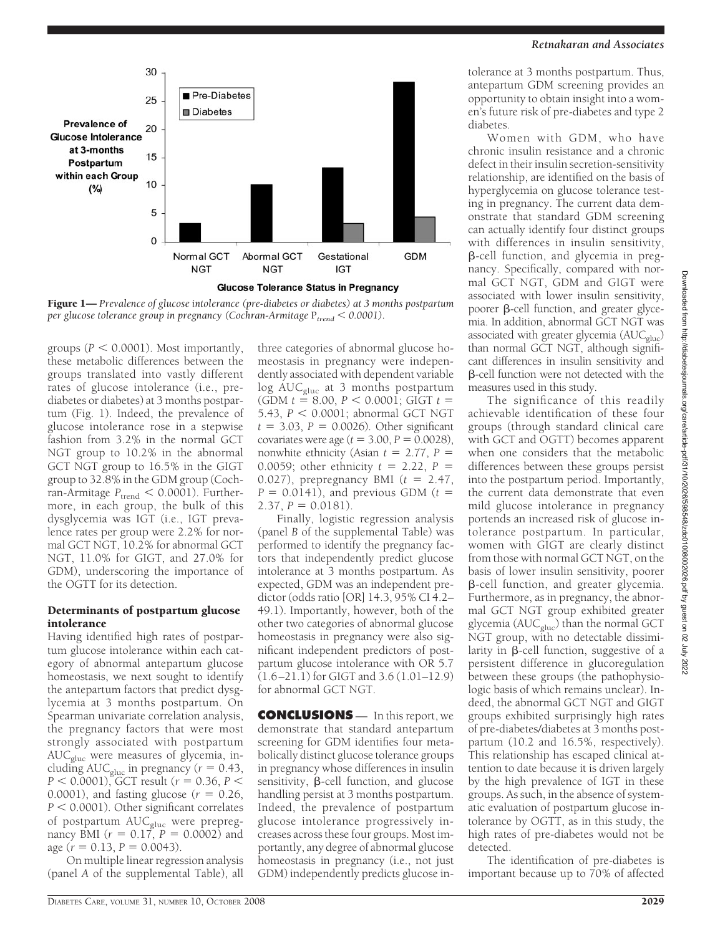# *Retnakaran and Associates*



Figure 1— *Prevalence of glucose intolerance (pre-diabetes or diabetes) at 3 months postpartum per glucose tolerance group in pregnancy (Cochran-Armitage* P*trend* - *0.0001).*

groups ( $P < 0.0001$ ). Most importantly, these metabolic differences between the groups translated into vastly different rates of glucose intolerance (i.e., prediabetes or diabetes) at 3 months postpartum (Fig. 1). Indeed, the prevalence of glucose intolerance rose in a stepwise fashion from 3.2% in the normal GCT NGT group to 10.2% in the abnormal GCT NGT group to 16.5% in the GIGT group to 32.8% in the GDM group (Coch $ran-Armitage$   $P<sub>trend</sub> < 0.0001$ ). Furthermore, in each group, the bulk of this dysglycemia was IGT (i.e., IGT prevalence rates per group were 2.2% for normal GCT NGT, 10.2% for abnormal GCT NGT, 11.0% for GIGT, and 27.0% for GDM), underscoring the importance of the OGTT for its detection.

# Determinants of postpartum glucose intolerance

Having identified high rates of postpartum glucose intolerance within each category of abnormal antepartum glucose homeostasis, we next sought to identify the antepartum factors that predict dysglycemia at 3 months postpartum. On Spearman univariate correlation analysis, the pregnancy factors that were most strongly associated with postpartum AUCgluc were measures of glycemia, including  $AUC_{gluc}$  in pregnancy ( $r = 0.43$ ,  $P < 0.0001$ ), GCT result ( $r = 0.36$ ,  $P <$ 0.0001), and fasting glucose  $(r = 0.26)$ , *P* < 0.0001). Other significant correlates of postpartum AUC<sub>gluc</sub> were prepregnancy BMI ( $r = 0.17$ ,  $P = 0.0002$ ) and age  $(r = 0.13, P = 0.0043)$ .

On multiple linear regression analysis (panel *A* of the supplemental Table), all three categories of abnormal glucose homeostasis in pregnancy were independently associated with dependent variable log AUC<sub>gluc</sub> at 3 months postpartum  $(GDM t = 8.00, P < 0.0001; GIGT t =$ 5.43, *P* < 0.0001; abnormal GCT NGT  $t = 3.03$ ,  $P = 0.0026$ ). Other significant covariates were age  $(t = 3.00, P = 0.0028)$ , nonwhite ethnicity (Asian  $t = 2.77$ ,  $P =$ 0.0059; other ethnicity  $t = 2.22$ ,  $P =$ 0.027), prepregnancy BMI  $(t = 2.47)$ ,  $P = 0.0141$ ), and previous GDM ( $t =$  $2.37, P = 0.0181$ .

Finally, logistic regression analysis (panel *B* of the supplemental Table) was performed to identify the pregnancy factors that independently predict glucose intolerance at 3 months postpartum. As expected, GDM was an independent predictor (odds ratio [OR] 14.3, 95% CI 4.2– 49.1). Importantly, however, both of the other two categories of abnormal glucose homeostasis in pregnancy were also significant independent predictors of postpartum glucose intolerance with OR 5.7  $(1.6–21.1)$  for GIGT and 3.6  $(1.01–12.9)$ for abnormal GCT NGT.

**CONCLUSIONS** — In this report, we demonstrate that standard antepartum screening for GDM identifies four metabolically distinct glucose tolerance groups in pregnancy whose differences in insulin sensitivity,  $\beta$ -cell function, and glucose handling persist at 3 months postpartum. Indeed, the prevalence of postpartum glucose intolerance progressively increases across these four groups. Most importantly, any degree of abnormal glucose homeostasis in pregnancy (i.e., not just GDM) independently predicts glucose intolerance at 3 months postpartum. Thus, antepartum GDM screening provides an opportunity to obtain insight into a women's future risk of pre-diabetes and type 2 diabetes.

Women with GDM, who have chronic insulin resistance and a chronic defect in their insulin secretion-sensitivity relationship, are identified on the basis of hyperglycemia on glucose tolerance testing in pregnancy. The current data demonstrate that standard GDM screening can actually identify four distinct groups with differences in insulin sensitivity, -cell function, and glycemia in pregnancy. Specifically, compared with normal GCT NGT, GDM and GIGT were associated with lower insulin sensitivity, poorer  $\beta$ -cell function, and greater glycemia. In addition, abnormal GCT NGT was associated with greater glycemia  $(AUC_{gluc})$ than normal GCT NGT, although significant differences in insulin sensitivity and -cell function were not detected with the measures used in this study.

The significance of this readily achievable identification of these four groups (through standard clinical care with GCT and OGTT) becomes apparent when one considers that the metabolic differences between these groups persist into the postpartum period. Importantly, the current data demonstrate that even mild glucose intolerance in pregnancy portends an increased risk of glucose intolerance postpartum. In particular, women with GIGT are clearly distinct from those with normal GCT NGT, on the basis of lower insulin sensitivity, poorer  $\beta$ -cell function, and greater glycemia. Furthermore, as in pregnancy, the abnormal GCT NGT group exhibited greater glycemia (AUC<sub>gluc</sub>) than the normal GCT NGT group, with no detectable dissimilarity in  $\beta$ -cell function, suggestive of a persistent difference in glucoregulation between these groups (the pathophysiologic basis of which remains unclear). Indeed, the abnormal GCT NGT and GIGT groups exhibited surprisingly high rates of pre-diabetes/diabetes at 3 months postpartum (10.2 and 16.5%, respectively). This relationship has escaped clinical attention to date because it is driven largely by the high prevalence of IGT in these groups. As such, in the absence of systematic evaluation of postpartum glucose intolerance by OGTT, as in this study, the high rates of pre-diabetes would not be detected.

The identification of pre-diabetes is important because up to 70% of affected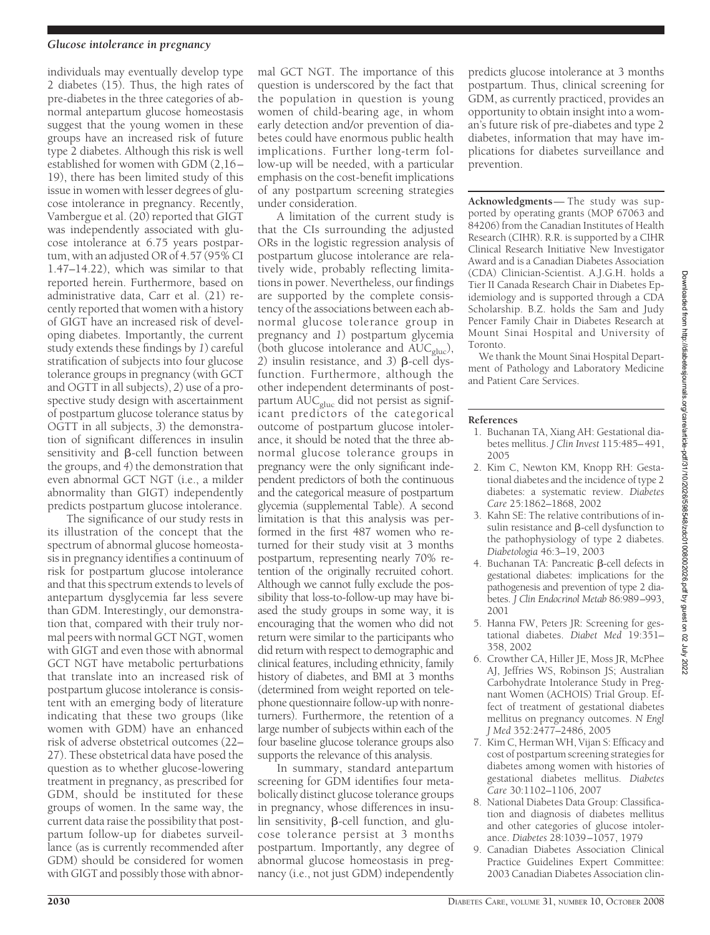# *Glucose intolerance in pregnancy*

individuals may eventually develop type 2 diabetes (15). Thus, the high rates of pre-diabetes in the three categories of abnormal antepartum glucose homeostasis suggest that the young women in these groups have an increased risk of future type 2 diabetes. Although this risk is well established for women with GDM (2,16– 19), there has been limited study of this issue in women with lesser degrees of glucose intolerance in pregnancy. Recently, Vambergue et al. (20) reported that GIGT was independently associated with glucose intolerance at 6.75 years postpartum, with an adjusted OR of 4.57 (95% CI 1.47–14.22), which was similar to that reported herein. Furthermore, based on administrative data, Carr et al. (21) recently reported that women with a history of GIGT have an increased risk of developing diabetes. Importantly, the current study extends these findings by *1*) careful stratification of subjects into four glucose tolerance groups in pregnancy (with GCT and OGTT in all subjects), *2*) use of a prospective study design with ascertainment of postpartum glucose tolerance status by OGTT in all subjects, *3*) the demonstration of significant differences in insulin sensitivity and  $\beta$ -cell function between the groups, and *4*) the demonstration that even abnormal GCT NGT (i.e., a milder abnormality than GIGT) independently predicts postpartum glucose intolerance.

The significance of our study rests in its illustration of the concept that the spectrum of abnormal glucose homeostasis in pregnancy identifies a continuum of risk for postpartum glucose intolerance and that this spectrum extends to levels of antepartum dysglycemia far less severe than GDM. Interestingly, our demonstration that, compared with their truly normal peers with normal GCT NGT, women with GIGT and even those with abnormal GCT NGT have metabolic perturbations that translate into an increased risk of postpartum glucose intolerance is consistent with an emerging body of literature indicating that these two groups (like women with GDM) have an enhanced risk of adverse obstetrical outcomes (22– 27). These obstetrical data have posed the question as to whether glucose-lowering treatment in pregnancy, as prescribed for GDM, should be instituted for these groups of women. In the same way, the current data raise the possibility that postpartum follow-up for diabetes surveillance (as is currently recommended after GDM) should be considered for women with GIGT and possibly those with abnor-

mal GCT NGT. The importance of this question is underscored by the fact that the population in question is young women of child-bearing age, in whom early detection and/or prevention of diabetes could have enormous public health implications. Further long-term follow-up will be needed, with a particular emphasis on the cost-benefit implications of any postpartum screening strategies under consideration.

A limitation of the current study is that the CIs surrounding the adjusted ORs in the logistic regression analysis of postpartum glucose intolerance are relatively wide, probably reflecting limitations in power. Nevertheless, our findings are supported by the complete consistency of the associations between each abnormal glucose tolerance group in pregnancy and *1*) postpartum glycemia (both glucose intolerance and  $AUC_{gluc}$ ), *2*) insulin resistance, and *3*)  $\beta$ -cell dysfunction. Furthermore, although the other independent determinants of postpartum  $\text{AUC}_{\text{gluc}}$  did not persist as significant predictors of the categorical outcome of postpartum glucose intolerance, it should be noted that the three abnormal glucose tolerance groups in pregnancy were the only significant independent predictors of both the continuous and the categorical measure of postpartum glycemia (supplemental Table). A second limitation is that this analysis was performed in the first 487 women who returned for their study visit at 3 months postpartum, representing nearly 70% retention of the originally recruited cohort. Although we cannot fully exclude the possibility that loss-to-follow-up may have biased the study groups in some way, it is encouraging that the women who did not return were similar to the participants who did return with respect to demographic and clinical features, including ethnicity, family history of diabetes, and BMI at 3 months (determined from weight reported on telephone questionnaire follow-up with nonreturners). Furthermore, the retention of a large number of subjects within each of the four baseline glucose tolerance groups also supports the relevance of this analysis.

In summary, standard antepartum screening for GDM identifies four metabolically distinct glucose tolerance groups in pregnancy, whose differences in insulin sensitivity,  $\beta$ -cell function, and glucose tolerance persist at 3 months postpartum. Importantly, any degree of abnormal glucose homeostasis in pregnancy (i.e., not just GDM) independently predicts glucose intolerance at 3 months postpartum. Thus, clinical screening for GDM, as currently practiced, provides an opportunity to obtain insight into a woman's future risk of pre-diabetes and type 2 diabetes, information that may have implications for diabetes surveillance and prevention.

**Acknowledgments**— The study was supported by operating grants (MOP 67063 and 84206) from the Canadian Institutes of Health Research (CIHR). R.R. is supported by a CIHR Clinical Research Initiative New Investigator Award and is a Canadian Diabetes Association (CDA) Clinician-Scientist. A.J.G.H. holds a Tier II Canada Research Chair in Diabetes Epidemiology and is supported through a CDA Scholarship. B.Z. holds the Sam and Judy Pencer Family Chair in Diabetes Research at Mount Sinai Hospital and University of Toronto.

We thank the Mount Sinai Hospital Department of Pathology and Laboratory Medicine and Patient Care Services.

#### **References**

- 1. Buchanan TA, Xiang AH: Gestational diabetes mellitus. *J Clin Invest* 115:485–491, 2005
- 2. Kim C, Newton KM, Knopp RH: Gestational diabetes and the incidence of type 2 diabetes: a systematic review. *Diabetes Care* 25:1862–1868, 2002
- 3. Kahn SE: The relative contributions of insulin resistance and  $\beta$ -cell dysfunction to the pathophysiology of type 2 diabetes. *Diabetologia* 46:3–19, 2003
- 4. Buchanan TA: Pancreatic  $\beta$ -cell defects in gestational diabetes: implications for the pathogenesis and prevention of type 2 diabetes. *J Clin Endocrinol Metab* 86:989–993, 2001
- 5. Hanna FW, Peters JR: Screening for gestational diabetes. *Diabet Med* 19:351– 358, 2002
- 6. Crowther CA, Hiller JE, Moss JR, McPhee AJ, Jeffries WS, Robinson JS; Australian Carbohydrate Intolerance Study in Pregnant Women (ACHOIS) Trial Group. Effect of treatment of gestational diabetes mellitus on pregnancy outcomes. *N Engl J Med* 352:2477–2486, 2005
- 7. Kim C, Herman WH, Vijan S: Efficacy and cost of postpartum screening strategies for diabetes among women with histories of gestational diabetes mellitus. *Diabetes Care* 30:1102–1106, 2007
- 8. National Diabetes Data Group: Classification and diagnosis of diabetes mellitus and other categories of glucose intolerance. *Diabetes* 28:1039–1057, 1979
- 9. Canadian Diabetes Association Clinical Practice Guidelines Expert Committee: 2003 Canadian Diabetes Association clin-